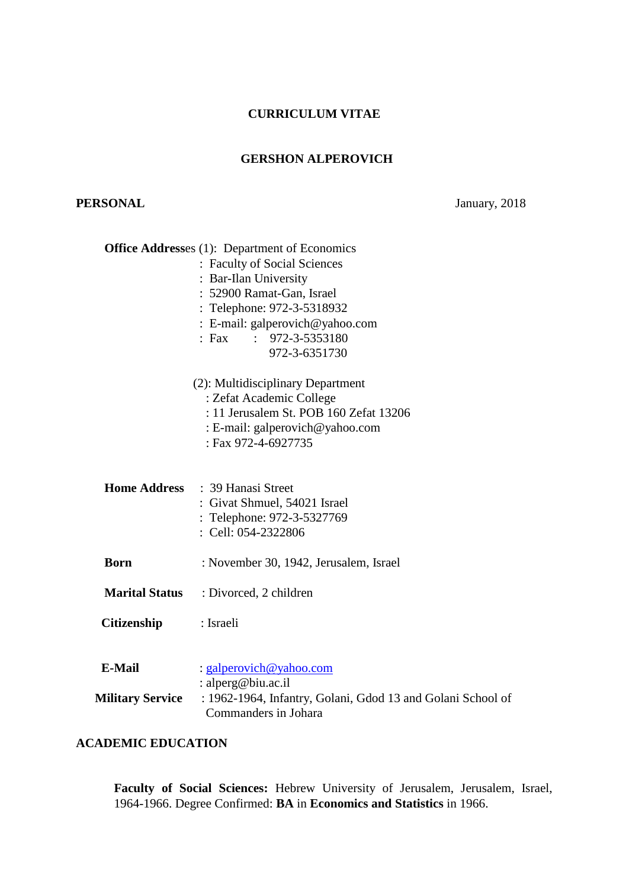#### **CURRICULUM VITAE**

### **GERSHON ALPEROVICH**

# **PERSONAL** January, 2018

|                         | <b>Office Addresses</b> (1): Department of Economics        |
|-------------------------|-------------------------------------------------------------|
|                         | : Faculty of Social Sciences                                |
|                         | : Bar-Ilan University                                       |
|                         | : 52900 Ramat-Gan, Israel                                   |
|                         | Telephone: 972-3-5318932                                    |
|                         | : E-mail: galperovich@yahoo.com                             |
|                         | : Fax : $972 - 3 - 5353180$                                 |
|                         | 972-3-6351730                                               |
|                         | (2): Multidisciplinary Department                           |
|                         | : Zefat Academic College                                    |
|                         | : 11 Jerusalem St. POB 160 Zefat 13206                      |
|                         | : E-mail: galperovich@yahoo.com                             |
|                         | : Fax 972-4-6927735                                         |
|                         | <b>Home Address</b> : 39 Hanasi Street                      |
|                         |                                                             |
|                         | : Givat Shmuel, 54021 Israel                                |
|                         | : Telephone: 972-3-5327769                                  |
|                         | : Cell: 054-2322806                                         |
| <b>Born</b>             | : November 30, 1942, Jerusalem, Israel                      |
| <b>Marital Status</b>   | : Divorced, 2 children                                      |
| <b>Citizenship</b>      | : Israeli                                                   |
|                         |                                                             |
| <b>E-Mail</b>           | : galperovich@yahoo.com                                     |
|                         | : alperg@biu.ac.il                                          |
| <b>Military Service</b> | : 1962-1964, Infantry, Golani, Gdod 13 and Golani School of |
|                         | Commanders in Johara                                        |

# **ACADEMIC EDUCATION**

**Faculty of Social Sciences:** Hebrew University of Jerusalem, Jerusalem, Israel, 1964-1966. Degree Confirmed: **BA** in **Economics and Statistics** in 1966.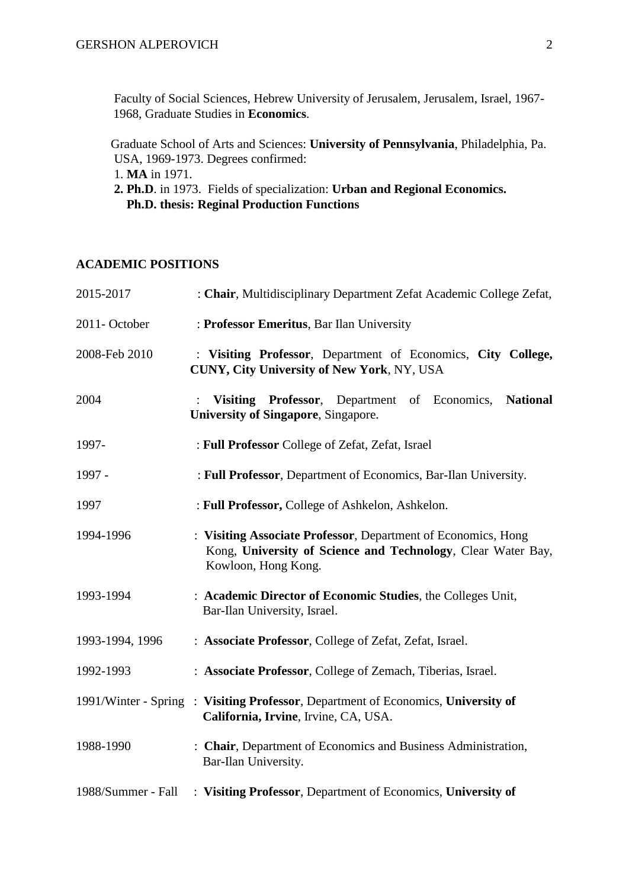Faculty of Social Sciences, Hebrew University of Jerusalem, Jerusalem, Israel, 1967- 1968, Graduate Studies in **Economics**.

 Graduate School of Arts and Sciences: **University of Pennsylvania**, Philadelphia, Pa. USA, 1969-1973. Degrees confirmed:

1. **MA** in 1971.

**2. Ph.D**. in 1973. Fields of specialization: **Urban and Regional Economics. Ph.D. thesis: Reginal Production Functions**

#### **ACADEMIC POSITIONS**

| 2015-2017       | : Chair, Multidisciplinary Department Zefat Academic College Zefat,                                                                                  |
|-----------------|------------------------------------------------------------------------------------------------------------------------------------------------------|
| 2011-October    | : Professor Emeritus, Bar Ilan University                                                                                                            |
| 2008-Feb 2010   | : Visiting Professor, Department of Economics, City College,<br>CUNY, City University of New York, NY, USA                                           |
| 2004            | Visiting Professor,<br>Department of Economics, National<br><b>University of Singapore, Singapore.</b>                                               |
| 1997-           | : Full Professor College of Zefat, Zefat, Israel                                                                                                     |
| 1997 -          | : Full Professor, Department of Economics, Bar-Ilan University.                                                                                      |
| 1997            | : Full Professor, College of Ashkelon, Ashkelon.                                                                                                     |
| 1994-1996       | : Visiting Associate Professor, Department of Economics, Hong<br>Kong, University of Science and Technology, Clear Water Bay,<br>Kowloon, Hong Kong. |
| 1993-1994       | : Academic Director of Economic Studies, the Colleges Unit,<br>Bar-Ilan University, Israel.                                                          |
| 1993-1994, 1996 | : Associate Professor, College of Zefat, Zefat, Israel.                                                                                              |
| 1992-1993       | : Associate Professor, College of Zemach, Tiberias, Israel.                                                                                          |
|                 | 1991/Winter - Spring: Visiting Professor, Department of Economics, University of<br>California, Irvine, Irvine, CA, USA.                             |
| 1988-1990       | : Chair, Department of Economics and Business Administration,<br>Bar-Ilan University.                                                                |
|                 | 1988/Summer - Fall : Visiting Professor, Department of Economics, University of                                                                      |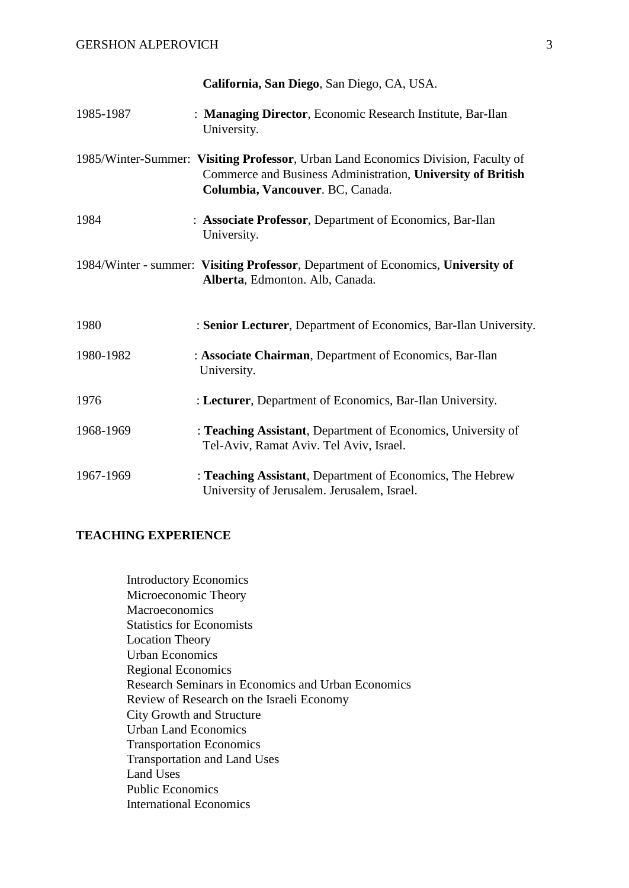|           | California, San Diego, San Diego, CA, USA.                                                                                                                                           |
|-----------|--------------------------------------------------------------------------------------------------------------------------------------------------------------------------------------|
| 1985-1987 | : Managing Director, Economic Research Institute, Bar-Ilan<br>University.                                                                                                            |
|           | 1985/Winter-Summer: Visiting Professor, Urban Land Economics Division, Faculty of<br>Commerce and Business Administration, University of British<br>Columbia, Vancouver. BC, Canada. |
| 1984      | : Associate Professor, Department of Economics, Bar-Ilan<br>University.                                                                                                              |
|           | 1984/Winter - summer: Visiting Professor, Department of Economics, University of<br>Alberta, Edmonton. Alb, Canada.                                                                  |
| 1980      | : Senior Lecturer, Department of Economics, Bar-Ilan University.                                                                                                                     |
| 1980-1982 | : Associate Chairman, Department of Economics, Bar-Ilan<br>University.                                                                                                               |
| 1976      | : Lecturer, Department of Economics, Bar-Ilan University.                                                                                                                            |
| 1968-1969 | : Teaching Assistant, Department of Economics, University of<br>Tel-Aviv, Ramat Aviv. Tel Aviv, Israel.                                                                              |
| 1967-1969 | : Teaching Assistant, Department of Economics, The Hebrew<br>University of Jerusalem. Jerusalem, Israel.                                                                             |

#### **TEACHING EXPERIENCE**

 Introductory Economics Microeconomic Theory Macroeconomics Statistics for Economists Location Theory Urban Economics Regional Economics Research Seminars in Economics and Urban Economics Review of Research on the Israeli Economy City Growth and Structure Urban Land Economics Transportation Economics Transportation and Land Uses Land Uses Public Economics International Economics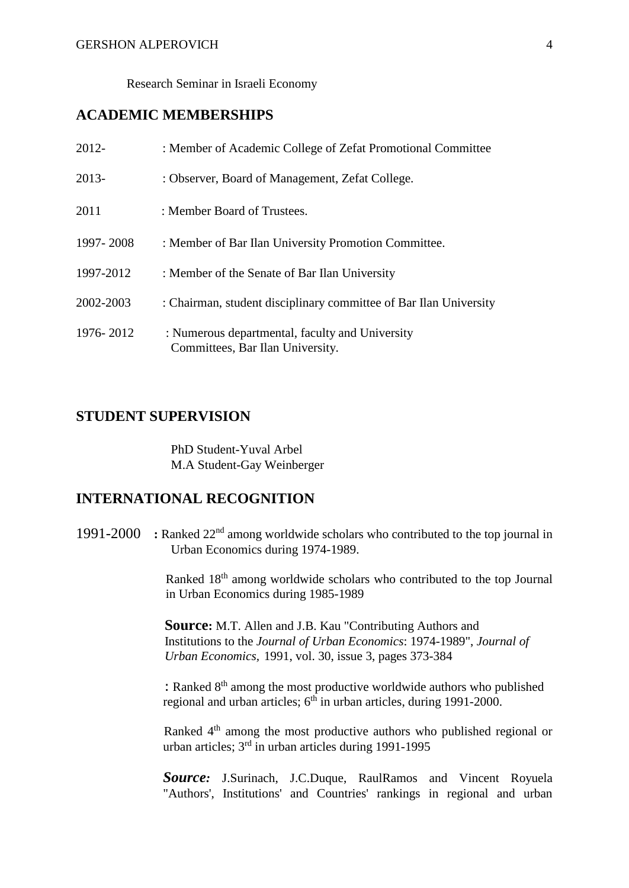Research Seminar in Israeli Economy

# **ACADEMIC MEMBERSHIPS**

| 2012-     | : Member of Academic College of Zefat Promotional Committee                         |
|-----------|-------------------------------------------------------------------------------------|
| $2013-$   | : Observer, Board of Management, Zefat College.                                     |
| 2011      | : Member Board of Trustees.                                                         |
| 1997-2008 | : Member of Bar Ilan University Promotion Committee.                                |
| 1997-2012 | : Member of the Senate of Bar Ilan University                                       |
| 2002-2003 | : Chairman, student disciplinary committee of Bar Ilan University                   |
| 1976-2012 | : Numerous departmental, faculty and University<br>Committees, Bar Ilan University. |

## **STUDENT SUPERVISION**

 PhD Student-Yuval Arbel M.A Student-Gay Weinberger

## **INTERNATIONAL RECOGNITION**

1991-2000 **:** Ranked 22nd among worldwide scholars who contributed to the top journal in Urban Economics during 1974-1989.

> Ranked 18<sup>th</sup> among worldwide scholars who contributed to the top Journal in Urban Economics during 1985-1989

**Source:** M.T. Allen and J.B. Kau "Contributing Authors and Institutions to the *Journal of Urban Economics*: 1974-1989", *Journal of Urban Economics,* 1991, vol. 30, issue 3, pages 373-384

: Ranked 8<sup>th</sup> among the most productive worldwide authors who published regional and urban articles; 6<sup>th</sup> in urban articles, during 1991-2000.

Ranked 4<sup>th</sup> among the most productive authors who published regional or urban articles; 3<sup>rd</sup> in urban articles during 1991-1995

*Source:* J.Surinach, J.C.Duque, RaulRamos and Vincent Royuela "Authors', Institutions' and Countries' rankings in regional and urban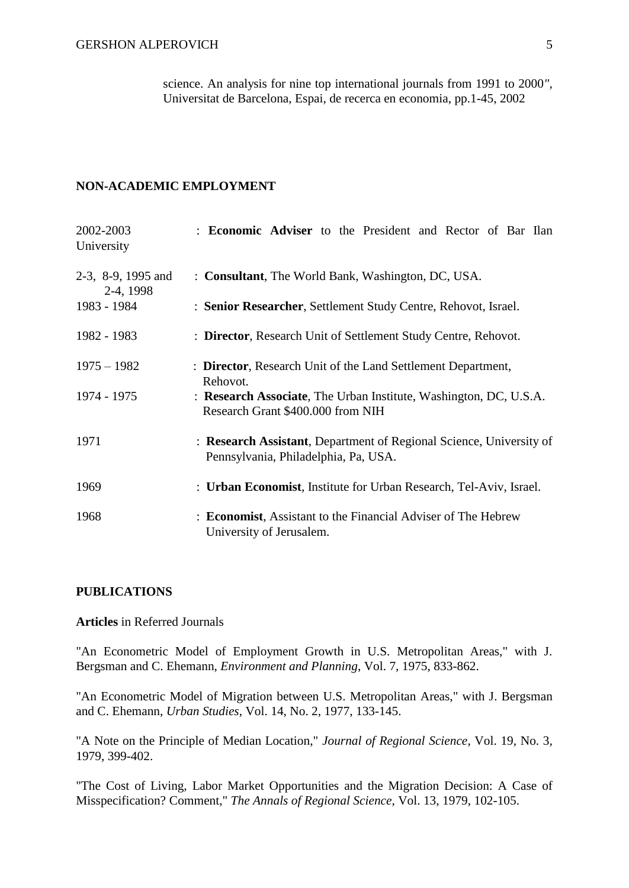science. An analysis for nine top international journals from 1991 to 2000*",* Universitat de Barcelona, Espai, de recerca en economia, pp.1-45, 2002

#### **NON-ACADEMIC EMPLOYMENT**

| 2002-2003<br>University         | : Economic Adviser to the President and Rector of Bar Ilan                                                  |
|---------------------------------|-------------------------------------------------------------------------------------------------------------|
| 2-3, 8-9, 1995 and<br>2-4, 1998 | : Consultant, The World Bank, Washington, DC, USA.                                                          |
| 1983 - 1984                     | : Senior Researcher, Settlement Study Centre, Rehovot, Israel.                                              |
| 1982 - 1983                     | : Director, Research Unit of Settlement Study Centre, Rehovot.                                              |
| $1975 - 1982$                   | : <b>Director</b> , Research Unit of the Land Settlement Department,<br>Rehovot.                            |
| 1974 - 1975                     | : Research Associate, The Urban Institute, Washington, DC, U.S.A.<br>Research Grant \$400.000 from NIH      |
| 1971                            | : Research Assistant, Department of Regional Science, University of<br>Pennsylvania, Philadelphia, Pa, USA. |
| 1969                            | : Urban Economist, Institute for Urban Research, Tel-Aviv, Israel.                                          |
| 1968                            | : Economist, Assistant to the Financial Adviser of The Hebrew<br>University of Jerusalem.                   |

#### **PUBLICATIONS**

### **Articles** in Referred Journals

"An Econometric Model of Employment Growth in U.S. Metropolitan Areas," with J. Bergsman and C. Ehemann, *Environment and Planning*, Vol. 7, 1975, 833-862.

"An Econometric Model of Migration between U.S. Metropolitan Areas," with J. Bergsman and C. Ehemann, *Urban Studies*, Vol. 14, No. 2, 1977, 133-145.

"A Note on the Principle of Median Location," *Journal of Regional Science*, Vol. 19, No. 3, 1979, 399-402.

"The Cost of Living, Labor Market Opportunities and the Migration Decision: A Case of Misspecification? Comment," *The Annals of Regional Science*, Vol. 13, 1979, 102-105.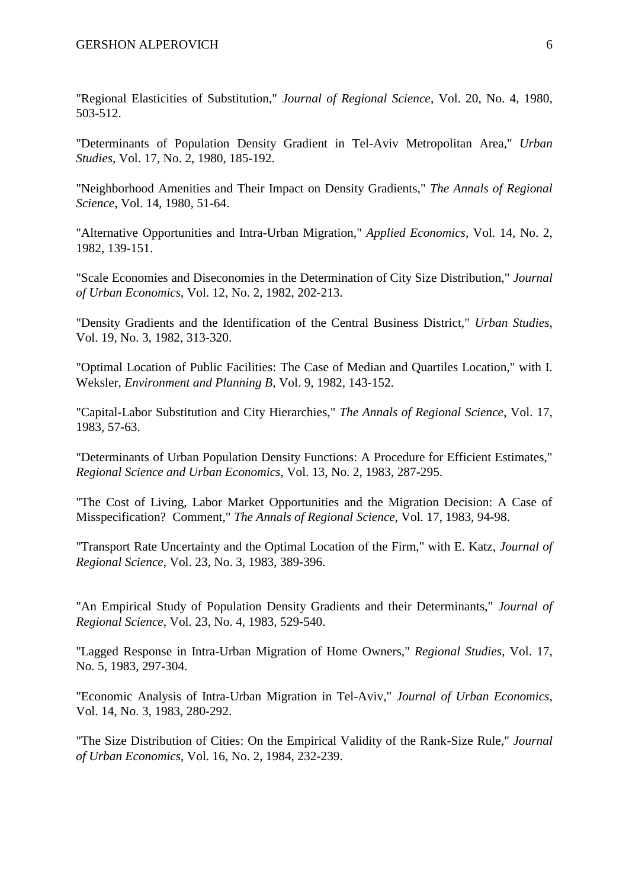"Regional Elasticities of Substitution," *Journal of Regional Science*, Vol. 20, No. 4, 1980, 503-512.

"Determinants of Population Density Gradient in Tel-Aviv Metropolitan Area," *Urban Studies*, Vol. 17, No. 2, 1980, 185-192.

"Neighborhood Amenities and Their Impact on Density Gradients," *The Annals of Regional Science*, Vol. 14, 1980, 51-64.

"Alternative Opportunities and Intra-Urban Migration," *Applied Economics*, Vol. 14, No. 2, 1982, 139-151.

"Scale Economies and Diseconomies in the Determination of City Size Distribution," *Journal of Urban Economics*, Vol. 12, No. 2, 1982, 202-213.

"Density Gradients and the Identification of the Central Business District," *Urban Studies*, Vol. 19, No. 3, 1982, 313-320.

"Optimal Location of Public Facilities: The Case of Median and Quartiles Location," with I. Weksler, *Environment and Planning B*, Vol. 9, 1982, 143-152.

"Capital-Labor Substitution and City Hierarchies," *The Annals of Regional Science*, Vol. 17, 1983, 57-63.

"Determinants of Urban Population Density Functions: A Procedure for Efficient Estimates," *Regional Science and Urban Economics*, Vol. 13, No. 2, 1983, 287-295.

"The Cost of Living, Labor Market Opportunities and the Migration Decision: A Case of Misspecification? Comment," *The Annals of Regional Science*, Vol. 17, 1983, 94-98.

"Transport Rate Uncertainty and the Optimal Location of the Firm," with E. Katz, *Journal of Regional Science*, Vol. 23, No. 3, 1983, 389-396.

"An Empirical Study of Population Density Gradients and their Determinants," *Journal of Regional Science*, Vol. 23, No. 4, 1983, 529-540.

"Lagged Response in Intra-Urban Migration of Home Owners," *Regional Studies*, Vol. 17, No. 5, 1983, 297-304.

"Economic Analysis of Intra-Urban Migration in Tel-Aviv," *Journal of Urban Economics*, Vol. 14, No. 3, 1983, 280-292.

"The Size Distribution of Cities: On the Empirical Validity of the Rank-Size Rule," *Journal of Urban Economics*, Vol. 16, No. 2, 1984, 232-239.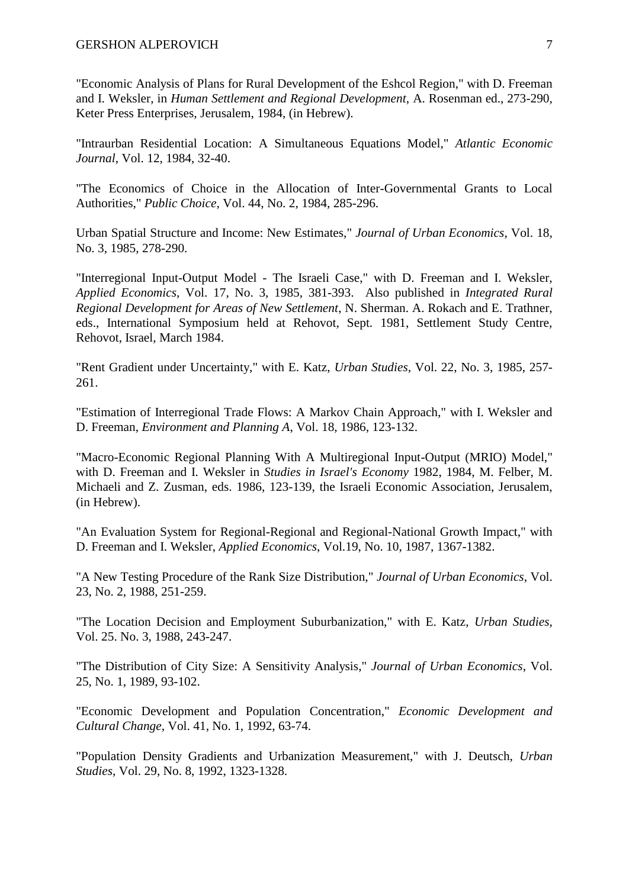"Economic Analysis of Plans for Rural Development of the Eshcol Region," with D. Freeman and I. Weksler, in *Human Settlement and Regional Development*, A. Rosenman ed., 273-290, Keter Press Enterprises, Jerusalem, 1984, (in Hebrew).

"Intraurban Residential Location: A Simultaneous Equations Model," *Atlantic Economic Journal*, Vol. 12, 1984, 32-40.

"The Economics of Choice in the Allocation of Inter-Governmental Grants to Local Authorities," *Public Choice*, Vol. 44, No. 2, 1984, 285-296.

Urban Spatial Structure and Income: New Estimates," *Journal of Urban Economics*, Vol. 18, No. 3, 1985, 278-290.

"Interregional Input-Output Model - The Israeli Case," with D. Freeman and I. Weksler, *Applied Economics*, Vol. 17, No. 3, 1985, 381-393. Also published in *Integrated Rural Regional Development for Areas of New Settlement*, N. Sherman. A. Rokach and E. Trathner, eds., International Symposium held at Rehovot, Sept. 1981, Settlement Study Centre, Rehovot, Israel, March 1984.

"Rent Gradient under Uncertainty," with E. Katz, *Urban Studies*, Vol. 22, No. 3, 1985, 257- 261.

"Estimation of Interregional Trade Flows: A Markov Chain Approach," with I. Weksler and D. Freeman, *Environment and Planning A*, Vol. 18, 1986, 123-132.

"Macro-Economic Regional Planning With A Multiregional Input-Output (MRIO) Model," with D. Freeman and I. Weksler in *Studies in Israel's Economy* 1982, 1984, M. Felber, M. Michaeli and Z. Zusman, eds. 1986, 123-139, the Israeli Economic Association, Jerusalem, (in Hebrew).

"An Evaluation System for Regional-Regional and Regional-National Growth Impact," with D. Freeman and I. Weksler, *Applied Economics*, Vol.19, No. 10, 1987, 1367-1382.

"A New Testing Procedure of the Rank Size Distribution," *Journal of Urban Economics*, Vol. 23, No. 2, 1988, 251-259.

"The Location Decision and Employment Suburbanization," with E. Katz, *Urban Studies*, Vol. 25. No. 3, 1988, 243-247.

"The Distribution of City Size: A Sensitivity Analysis," *Journal of Urban Economics*, Vol. 25, No. 1, 1989, 93-102.

"Economic Development and Population Concentration," *Economic Development and Cultural Change*, Vol. 41, No. 1, 1992, 63-74.

"Population Density Gradients and Urbanization Measurement," with J. Deutsch, *Urban Studies*, Vol. 29, No. 8, 1992, 1323-1328.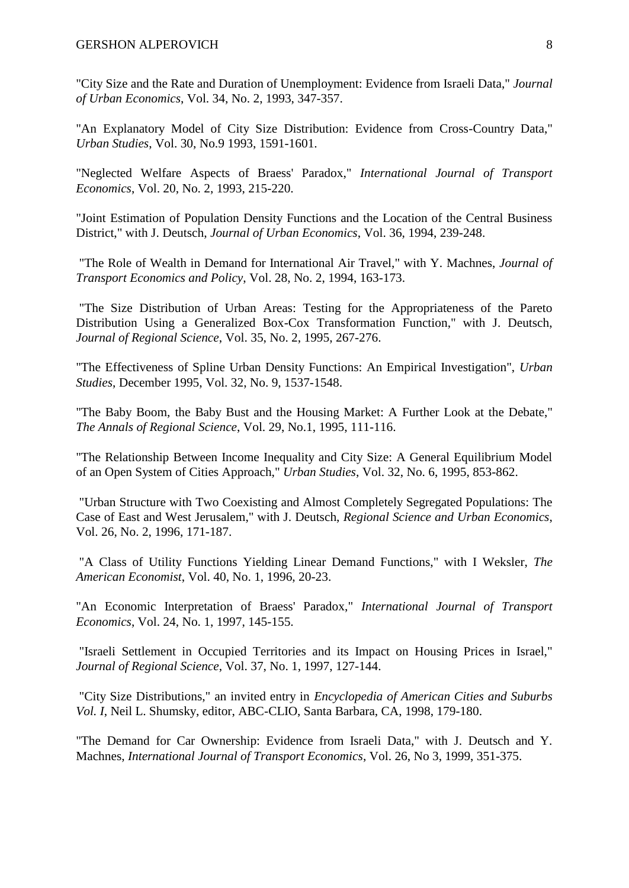"City Size and the Rate and Duration of Unemployment: Evidence from Israeli Data," *Journal of Urban Economics*, Vol. 34, No. 2, 1993, 347-357.

"An Explanatory Model of City Size Distribution: Evidence from Cross-Country Data," *Urban Studies*, Vol. 30, No.9 1993, 1591-1601.

"Neglected Welfare Aspects of Braess' Paradox," *International Journal of Transport Economics*, Vol. 20, No. 2, 1993, 215-220.

"Joint Estimation of Population Density Functions and the Location of the Central Business District," with J. Deutsch, *Journal of Urban Economics*, Vol. 36, 1994, 239-248.

"The Role of Wealth in Demand for International Air Travel," with Y. Machnes, *Journal of Transport Economics and Policy*, Vol. 28, No. 2, 1994, 163-173.

"The Size Distribution of Urban Areas: Testing for the Appropriateness of the Pareto Distribution Using a Generalized Box-Cox Transformation Function," with J. Deutsch, *Journal of Regional Science*, Vol. 35, No. 2, 1995, 267-276.

"The Effectiveness of Spline Urban Density Functions: An Empirical Investigation", *Urban Studies*, December 1995, Vol. 32, No. 9, 1537-1548.

"The Baby Boom, the Baby Bust and the Housing Market: A Further Look at the Debate," *The Annals of Regional Science*, Vol. 29, No.1, 1995, 111-116.

"The Relationship Between Income Inequality and City Size: A General Equilibrium Model of an Open System of Cities Approach," *Urban Studies*, Vol. 32, No. 6, 1995, 853-862.

"Urban Structure with Two Coexisting and Almost Completely Segregated Populations: The Case of East and West Jerusalem," with J. Deutsch, *Regional Science and Urban Economics*, Vol. 26, No. 2, 1996, 171-187.

"A Class of Utility Functions Yielding Linear Demand Functions," with I Weksler, *The American Economist*, Vol. 40, No. 1, 1996, 20-23.

"An Economic Interpretation of Braess' Paradox," *International Journal of Transport Economics*, Vol. 24, No. 1, 1997, 145-155.

"Israeli Settlement in Occupied Territories and its Impact on Housing Prices in Israel," *Journal of Regional Science*, Vol. 37, No. 1, 1997, 127-144.

"City Size Distributions," an invited entry in *Encyclopedia of American Cities and Suburbs Vol. I*, Neil L. Shumsky, editor, ABC-CLIO, Santa Barbara, CA, 1998, 179-180.

"The Demand for Car Ownership: Evidence from Israeli Data," with J. Deutsch and Y. Machnes, *International Journal of Transport Economics*, Vol. 26, No 3, 1999, 351-375.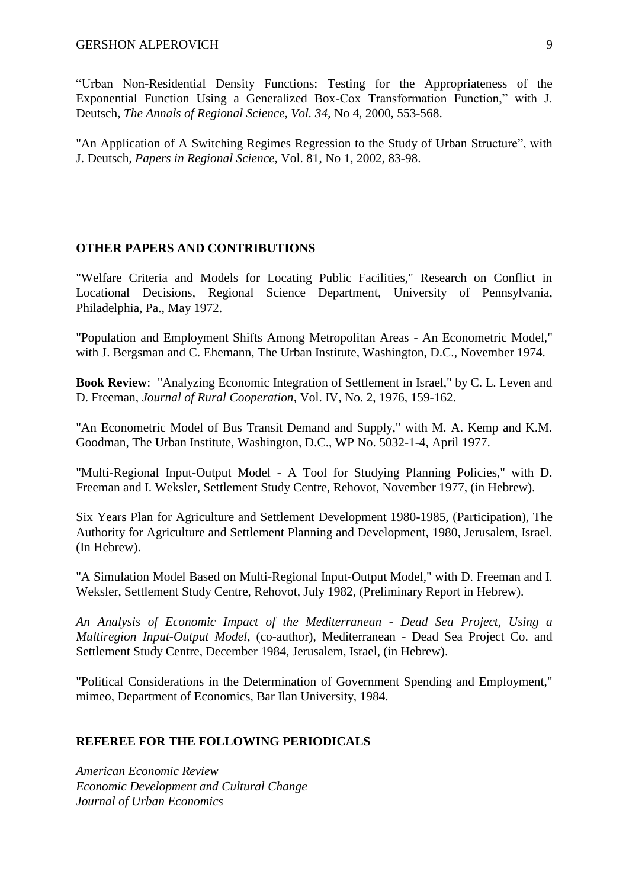"Urban Non-Residential Density Functions: Testing for the Appropriateness of the Exponential Function Using a Generalized Box-Cox Transformation Function," with J. Deutsch, *The Annals of Regional Science, Vol. 34*, No 4, 2000, 553-568.

"An Application of A Switching Regimes Regression to the Study of Urban Structure", with J. Deutsch, *Papers in Regional Science*, Vol. 81, No 1, 2002, 83-98.

#### **OTHER PAPERS AND CONTRIBUTIONS**

"Welfare Criteria and Models for Locating Public Facilities," Research on Conflict in Locational Decisions, Regional Science Department, University of Pennsylvania, Philadelphia, Pa., May 1972.

"Population and Employment Shifts Among Metropolitan Areas - An Econometric Model," with J. Bergsman and C. Ehemann, The Urban Institute, Washington, D.C., November 1974.

**Book Review**: "Analyzing Economic Integration of Settlement in Israel," by C. L. Leven and D. Freeman, *Journal of Rural Cooperation*, Vol. IV, No. 2, 1976, 159-162.

"An Econometric Model of Bus Transit Demand and Supply," with M. A. Kemp and K.M. Goodman, The Urban Institute, Washington, D.C., WP No. 5032-1-4, April 1977.

"Multi-Regional Input-Output Model - A Tool for Studying Planning Policies," with D. Freeman and I. Weksler, Settlement Study Centre, Rehovot, November 1977, (in Hebrew).

Six Years Plan for Agriculture and Settlement Development 1980-1985, (Participation), The Authority for Agriculture and Settlement Planning and Development, 1980, Jerusalem, Israel. (In Hebrew).

"A Simulation Model Based on Multi-Regional Input-Output Model," with D. Freeman and I. Weksler, Settlement Study Centre, Rehovot, July 1982, (Preliminary Report in Hebrew).

*An Analysis of Economic Impact of the Mediterranean - Dead Sea Project, Using a Multiregion Input-Output Model*, (co-author), Mediterranean - Dead Sea Project Co. and Settlement Study Centre, December 1984, Jerusalem, Israel, (in Hebrew).

"Political Considerations in the Determination of Government Spending and Employment," mimeo, Department of Economics, Bar Ilan University, 1984.

#### **REFEREE FOR THE FOLLOWING PERIODICALS**

*American Economic Review Economic Development and Cultural Change Journal of Urban Economics*